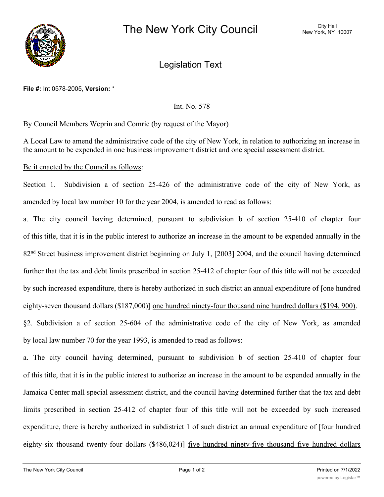

Legislation Text

## **File #:** Int 0578-2005, **Version:** \*

Int. No. 578

By Council Members Weprin and Comrie (by request of the Mayor)

A Local Law to amend the administrative code of the city of New York, in relation to authorizing an increase in the amount to be expended in one business improvement district and one special assessment district.

Be it enacted by the Council as follows:

Section 1. Subdivision a of section 25-426 of the administrative code of the city of New York, as amended by local law number 10 for the year 2004, is amended to read as follows:

a. The city council having determined, pursuant to subdivision b of section 25-410 of chapter four of this title, that it is in the public interest to authorize an increase in the amount to be expended annually in the 82<sup>nd</sup> Street business improvement district beginning on July 1, [2003] 2004, and the council having determined further that the tax and debt limits prescribed in section 25-412 of chapter four of this title will not be exceeded by such increased expenditure, there is hereby authorized in such district an annual expenditure of [one hundred eighty-seven thousand dollars (\$187,000)] one hundred ninety-four thousand nine hundred dollars (\$194, 900). §2. Subdivision a of section 25-604 of the administrative code of the city of New York, as amended by local law number 70 for the year 1993, is amended to read as follows:

a. The city council having determined, pursuant to subdivision b of section 25-410 of chapter four of this title, that it is in the public interest to authorize an increase in the amount to be expended annually in the Jamaica Center mall special assessment district, and the council having determined further that the tax and debt limits prescribed in section 25-412 of chapter four of this title will not be exceeded by such increased expenditure, there is hereby authorized in subdistrict 1 of such district an annual expenditure of [four hundred eighty-six thousand twenty-four dollars (\$486,024)] five hundred ninety-five thousand five hundred dollars